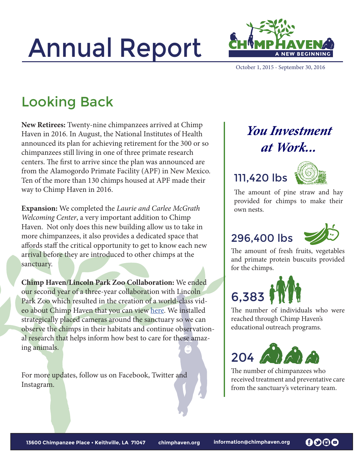# Annual Report



October 1, 2015 - September 30, 2016

### Looking Back

**New Retirees:** Twenty-nine chimpanzees arrived at Chimp Haven in 2016. In August, the National Institutes of Health announced its plan for achieving retirement for the 300 or so chimpanzees still living in one of three primate research centers. The first to arrive since the plan was announced are from the Alamogordo Primate Facility (APF) in New Mexico. Ten of the more than 130 chimps housed at APF made their way to Chimp Haven in 2016.

**Expansion:** We completed the *Laurie and Carlee McGrath Welcoming Center*, a very important addition to Chimp Haven. Not only does this new building allow us to take in more chimpanzees, it also provides a dedicated space that affords staff the critical opportunity to get to know each new arrival before they are introduced to other chimps at the sanctuary.

**Chimp Haven/Lincoln Park Zoo Collaboration:** We ended our second year of a three-year collaboration with Lincoln Park Zoo which resulted in the creation of a world-class video about Chimp Haven that you can view [here.](https://www.youtube.com/watch?v=DHr_HVcHLNk) We installed strategically placed cameras around the sanctuary so we can observe the chimps in their habitats and continue observational research that helps inform how best to care for these amazing animals.

For more updates, follow us on Facebook, Twitter and Instagram.

#### *You Investment at Work...*

#### 111,420 lbs



The amount of pine straw and hay provided for chimps to make their own nests.

#### 296,400 lbs



The amount of fresh fruits, vegetables and primate protein buscuits provided for the chimps.



The number of individuals who were reached through Chimp Haven's educational outreach programs.



The number of chimpanzees who received treatment and preventative care from the sanctuary's veterinary team.